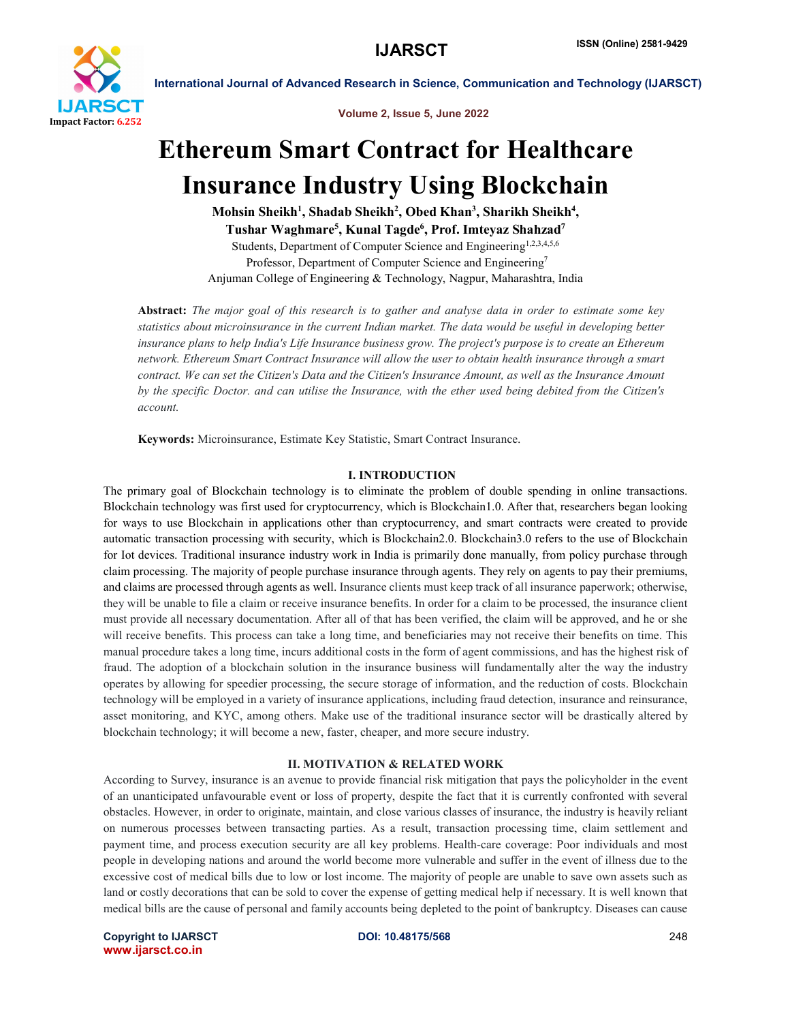

Volume 2, Issue 5, June 2022

# Ethereum Smart Contract for Healthcare Insurance Industry Using Blockchain

Mohsin Sheikh<sup>1</sup>, Shadab Sheikh<sup>2</sup>, Obed Khan<sup>3</sup>, Sharikh Sheikh<sup>4</sup>, Tushar Waghmare<sup>5</sup>, Kunal Tagde<sup>6</sup>, Prof. Imteyaz Shahzad<sup>7</sup> Students, Department of Computer Science and Engineering<sup>1,2,3,4,5,6</sup> Professor, Department of Computer Science and Engineering<sup>7</sup>

Anjuman College of Engineering & Technology, Nagpur, Maharashtra, India

Abstract: *The major goal of this research is to gather and analyse data in order to estimate some key statistics about microinsurance in the current Indian market. The data would be useful in developing better insurance plans to help India's Life Insurance business grow. The project's purpose is to create an Ethereum network. Ethereum Smart Contract Insurance will allow the user to obtain health insurance through a smart contract. We can set the Citizen's Data and the Citizen's Insurance Amount, as well as the Insurance Amount by the specific Doctor. and can utilise the Insurance, with the ether used being debited from the Citizen's account.*

Keywords: Microinsurance, Estimate Key Statistic, Smart Contract Insurance.

#### I. INTRODUCTION

The primary goal of Blockchain technology is to eliminate the problem of double spending in online transactions. Blockchain technology was first used for cryptocurrency, which is Blockchain1.0. After that, researchers began looking for ways to use Blockchain in applications other than cryptocurrency, and smart contracts were created to provide automatic transaction processing with security, which is Blockchain2.0. Blockchain3.0 refers to the use of Blockchain for Iot devices. Traditional insurance industry work in India is primarily done manually, from policy purchase through claim processing. The majority of people purchase insurance through agents. They rely on agents to pay their premiums, and claims are processed through agents as well. Insurance clients must keep track of all insurance paperwork; otherwise, they will be unable to file a claim or receive insurance benefits. In order for a claim to be processed, the insurance client must provide all necessary documentation. After all of that has been verified, the claim will be approved, and he or she will receive benefits. This process can take a long time, and beneficiaries may not receive their benefits on time. This manual procedure takes a long time, incurs additional costs in the form of agent commissions, and has the highest risk of fraud. The adoption of a blockchain solution in the insurance business will fundamentally alter the way the industry operates by allowing for speedier processing, the secure storage of information, and the reduction of costs. Blockchain technology will be employed in a variety of insurance applications, including fraud detection, insurance and reinsurance, asset monitoring, and KYC, among others. Make use of the traditional insurance sector will be drastically altered by blockchain technology; it will become a new, faster, cheaper, and more secure industry.

#### II. MOTIVATION & RELATED WORK

According to Survey, insurance is an avenue to provide financial risk mitigation that pays the policyholder in the event of an unanticipated unfavourable event or loss of property, despite the fact that it is currently confronted with several obstacles. However, in order to originate, maintain, and close various classes of insurance, the industry is heavily reliant on numerous processes between transacting parties. As a result, transaction processing time, claim settlement and payment time, and process execution security are all key problems. Health-care coverage: Poor individuals and most people in developing nations and around the world become more vulnerable and suffer in the event of illness due to the excessive cost of medical bills due to low or lost income. The majority of people are unable to save own assets such as land or costly decorations that can be sold to cover the expense of getting medical help if necessary. It is well known that medical bills are the cause of personal and family accounts being depleted to the point of bankruptcy. Diseases can cause

Copyright to IJARSCT DOI: 10.48175/568 248 www.ijarsct.co.in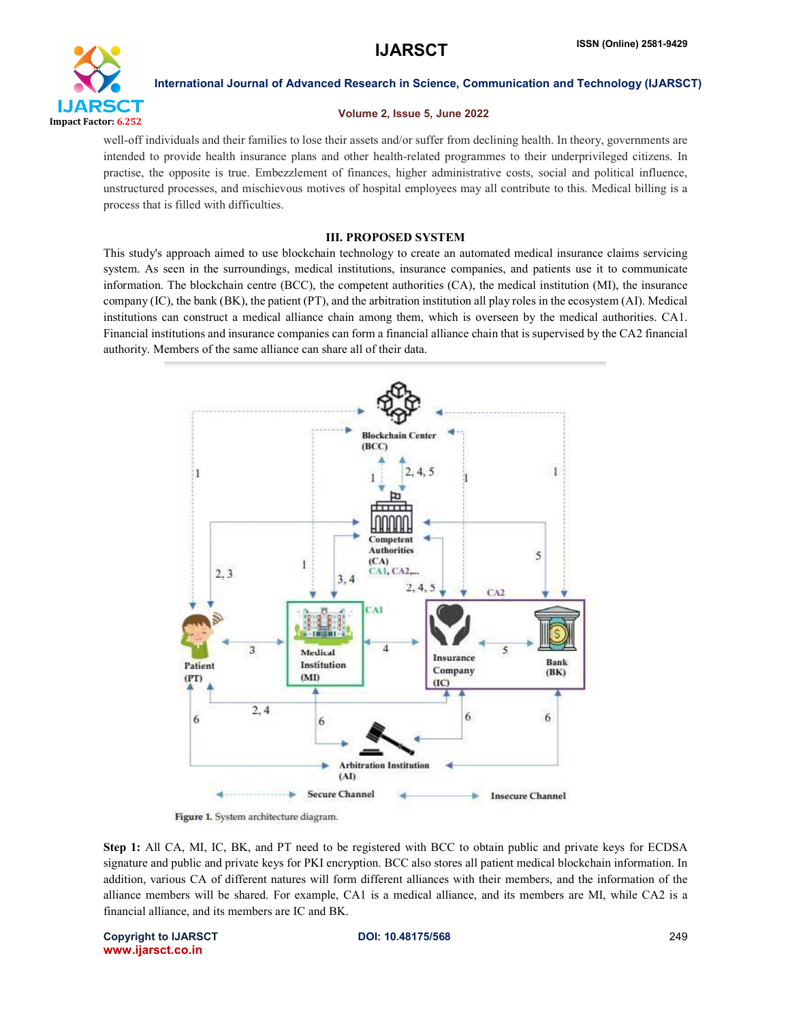

#### Volume 2, Issue 5, June 2022

well-off individuals and their families to lose their assets and/or suffer from declining health. In theory, governments are intended to provide health insurance plans and other health-related programmes to their underprivileged citizens. In practise, the opposite is true. Embezzlement of finances, higher administrative costs, social and political influence, unstructured processes, and mischievous motives of hospital employees may all contribute to this. Medical billing is a process that is filled with difficulties.

### III. PROPOSED SYSTEM

This study's approach aimed to use blockchain technology to create an automated medical insurance claims servicing system. As seen in the surroundings, medical institutions, insurance companies, and patients use it to communicate information. The blockchain centre (BCC), the competent authorities (CA), the medical institution (MI), the insurance company (IC), the bank (BK), the patient (PT), and the arbitration institution all play roles in the ecosystem (AI). Medical institutions can construct a medical alliance chain among them, which is overseen by the medical authorities. CA1. Financial institutions and insurance companies can form a financial alliance chain that is supervised by the CA2 financial authority. Members of the same alliance can share all of their data.



Figure 1. System architecture diagram.

Step 1: All CA, MI, IC, BK, and PT need to be registered with BCC to obtain public and private keys for ECDSA signature and public and private keys for PKI encryption. BCC also stores all patient medical blockchain information. In addition, various CA of different natures will form different alliances with their members, and the information of the alliance members will be shared. For example, CA1 is a medical alliance, and its members are MI, while CA2 is a financial alliance, and its members are IC and BK.

Copyright to IJARSCT DOI: 10.48175/568 249 www.ijarsct.co.in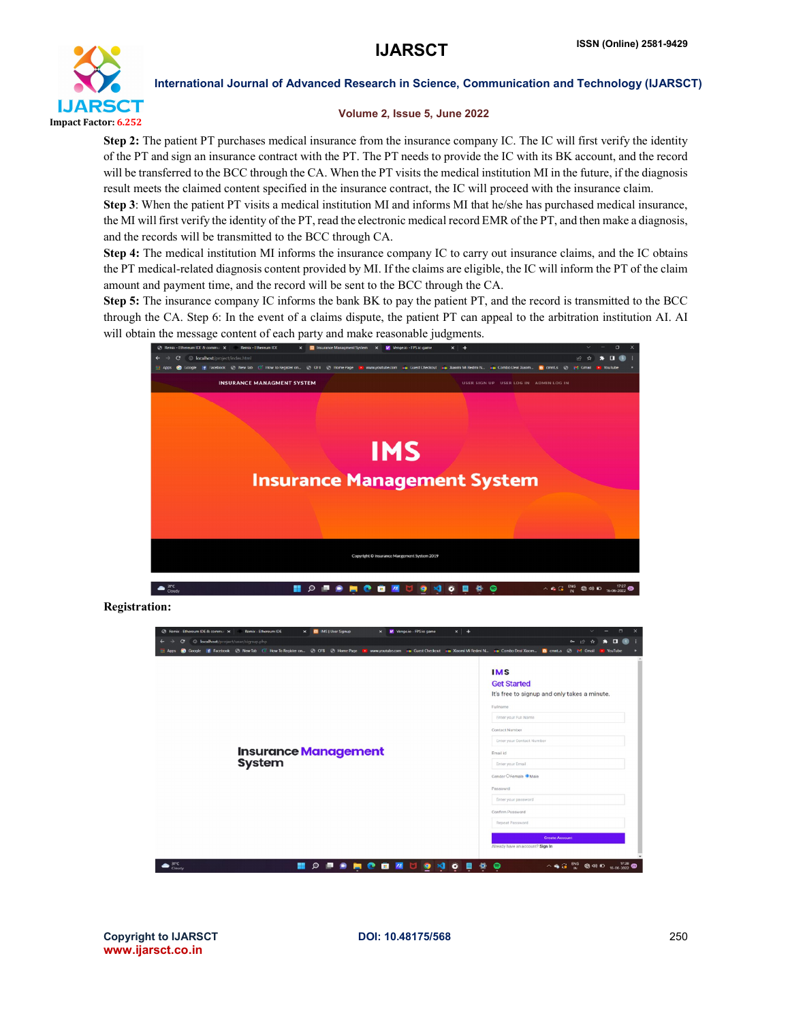

### Volume 2, Issue 5, June 2022

Step 2: The patient PT purchases medical insurance from the insurance company IC. The IC will first verify the identity of the PT and sign an insurance contract with the PT. The PT needs to provide the IC with its BK account, and the record will be transferred to the BCC through the CA. When the PT visits the medical institution MI in the future, if the diagnosis result meets the claimed content specified in the insurance contract, the IC will proceed with the insurance claim.

Step 3: When the patient PT visits a medical institution MI and informs MI that he/she has purchased medical insurance, the MI will first verify the identity of the PT, read the electronic medical record EMR of the PT, and then make a diagnosis, and the records will be transmitted to the BCC through CA.

Step 4: The medical institution MI informs the insurance company IC to carry out insurance claims, and the IC obtains the PT medical-related diagnosis content provided by MI. If the claims are eligible, the IC will inform the PT of the claim amount and payment time, and the record will be sent to the BCC through the CA.

Step 5: The insurance company IC informs the bank BK to pay the patient PT, and the record is transmitted to the BCC through the CA. Step 6: In the event of a claims dispute, the patient PT can appeal to the arbitration institution AI. AI will obtain the message content of each party and make reasonable judgments.



Registration:



Copyright to IJARSCT DOI: 10.48175/568 250 www.ijarsct.co.in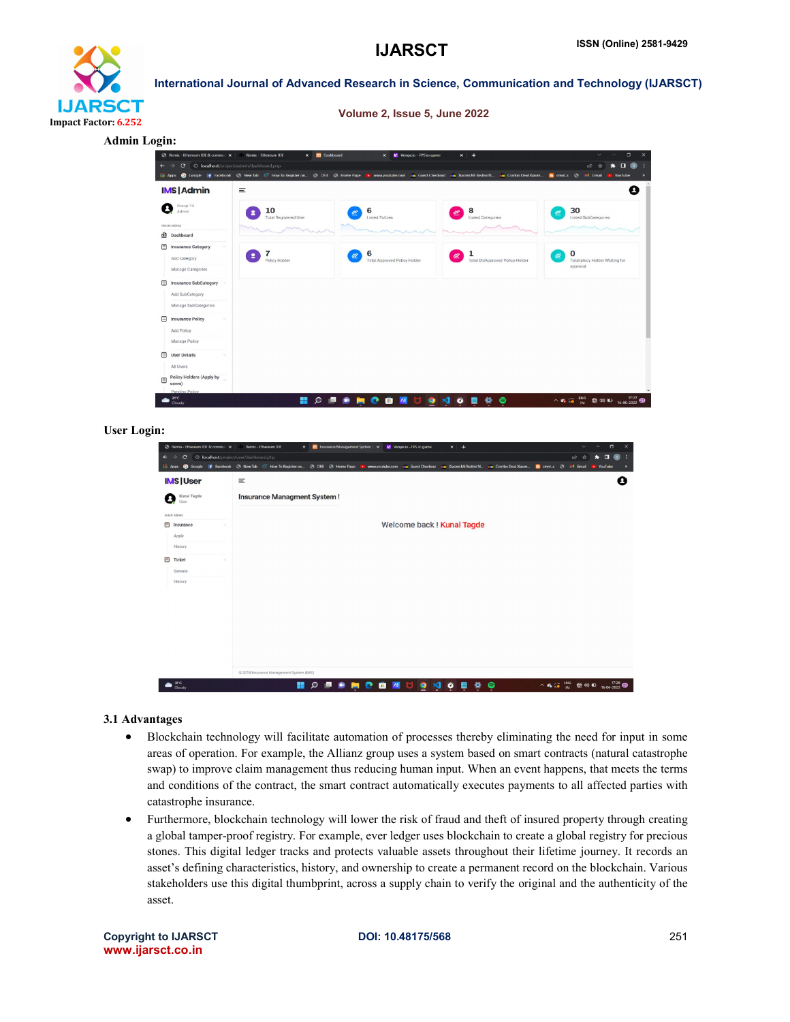

Volume 2, Issue 5, June 2022

Admin Login:



#### User Login:

|                | @ Remix - Ethereum IDE & communi X | Remix - Ethereum IDE                                                                                                                         | CI Insurance Management System   X   Vinge.io - FPS io game<br>$\times$ |  | $x +$                      |                    | $\checkmark$ |         | $\Box$<br>$\times$ |
|----------------|------------------------------------|----------------------------------------------------------------------------------------------------------------------------------------------|-------------------------------------------------------------------------|--|----------------------------|--------------------|--------------|---------|--------------------|
| ←              | e                                  | © localhost/project/user/dashboard.php                                                                                                       |                                                                         |  |                            |                    | 1台 ☆         | O       |                    |
| <b>Hi Apps</b> | <b>C</b> Google                    | F Facebook @ New Tab ( How To Register on @ OFB @ Home Page To Www.youtube.com and Guest Checkout and Xacmi Mi Redmi N., and Combo Deal Xacm |                                                                         |  |                            | a cmnt.s @ M Gmail |              | YouTube |                    |
|                | <b>IMS User</b>                    | $\equiv$                                                                                                                                     |                                                                         |  |                            |                    |              |         | Ø                  |
| Q              | Kunal Tagde<br>User                | <b>Insurance Managment System!</b>                                                                                                           |                                                                         |  |                            |                    |              |         |                    |
| MAIN MENU      |                                    |                                                                                                                                              |                                                                         |  |                            |                    |              |         |                    |
| ⊟              | Insurance                          |                                                                                                                                              |                                                                         |  | Welcome back ! Kunal Tagde |                    |              |         |                    |
|                | Apply                              |                                                                                                                                              |                                                                         |  |                            |                    |              |         |                    |
|                | History                            |                                                                                                                                              |                                                                         |  |                            |                    |              |         |                    |
| 日              | Ticket                             |                                                                                                                                              |                                                                         |  |                            |                    |              |         |                    |
|                | Genrate                            |                                                                                                                                              |                                                                         |  |                            |                    |              |         |                    |
|                | History                            |                                                                                                                                              |                                                                         |  |                            |                    |              |         |                    |
|                |                                    |                                                                                                                                              |                                                                         |  |                            |                    |              |         |                    |
|                |                                    |                                                                                                                                              |                                                                         |  |                            |                    |              |         |                    |
|                |                                    |                                                                                                                                              |                                                                         |  |                            |                    |              |         |                    |
|                |                                    |                                                                                                                                              |                                                                         |  |                            |                    |              |         |                    |
|                |                                    |                                                                                                                                              |                                                                         |  |                            |                    |              |         |                    |
|                |                                    |                                                                                                                                              |                                                                         |  |                            |                    |              |         |                    |
|                |                                    |                                                                                                                                              |                                                                         |  |                            |                    |              |         |                    |
|                |                                    | @ 2018 Insurance Management System (IMS)                                                                                                     |                                                                         |  |                            |                    |              |         |                    |
|                | $3^{\circ}$ C                      | ₩                                                                                                                                            | $\circ$<br>$\bullet$<br><b>COL</b>                                      |  | <b>DEMMONOEOG</b>          |                    |              |         |                    |

#### 3.1 Advantages

- Blockchain technology will facilitate automation of processes thereby eliminating the need for input in some areas of operation. For example, the Allianz group uses a system based on smart contracts (natural catastrophe swap) to improve claim management thus reducing human input. When an event happens, that meets the terms and conditions of the contract, the smart contract automatically executes payments to all affected parties with catastrophe insurance.
- Furthermore, blockchain technology will lower the risk of fraud and theft of insured property through creating a global tamper-proof registry. For example, ever ledger uses blockchain to create a global registry for precious stones. This digital ledger tracks and protects valuable assets throughout their lifetime journey. It records an asset's defining characteristics, history, and ownership to create a permanent record on the blockchain. Various stakeholders use this digital thumbprint, across a supply chain to verify the original and the authenticity of the asset.